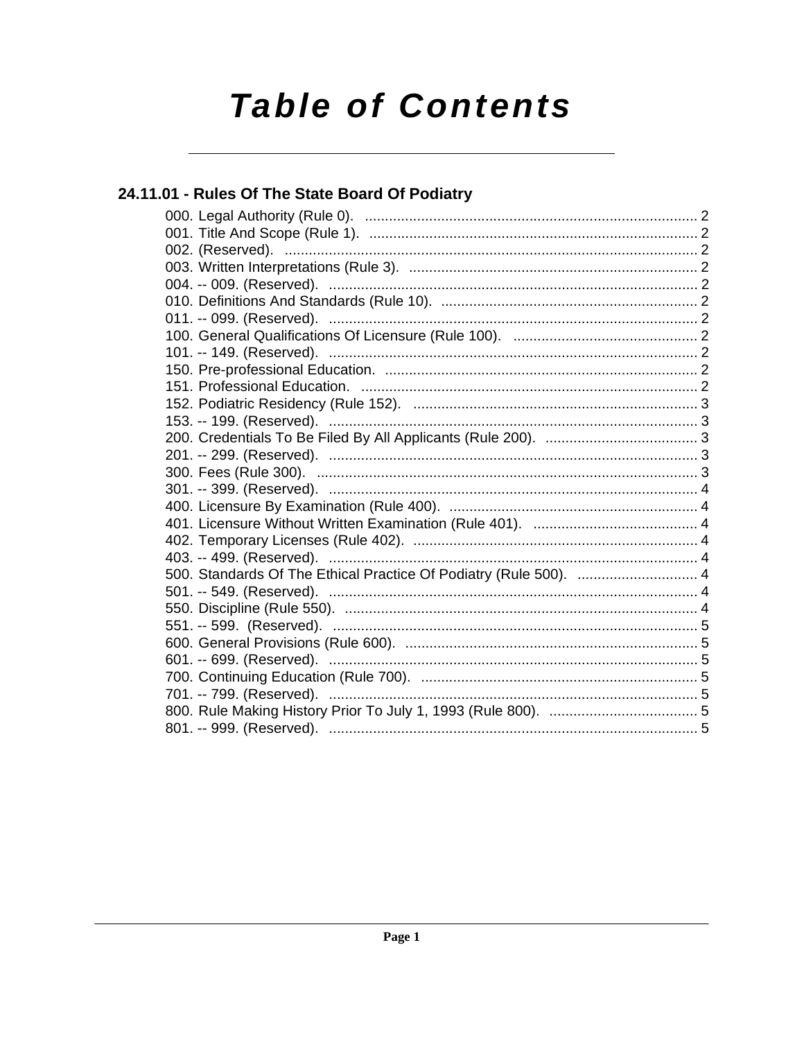# **Table of Contents**

### 24.11.01 - Rules Of The State Board Of Podiatry

| 500. Standards Of The Ethical Practice Of Podiatry (Rule 500).  4 |
|-------------------------------------------------------------------|
|                                                                   |
|                                                                   |
|                                                                   |
|                                                                   |
|                                                                   |
|                                                                   |
|                                                                   |
|                                                                   |
|                                                                   |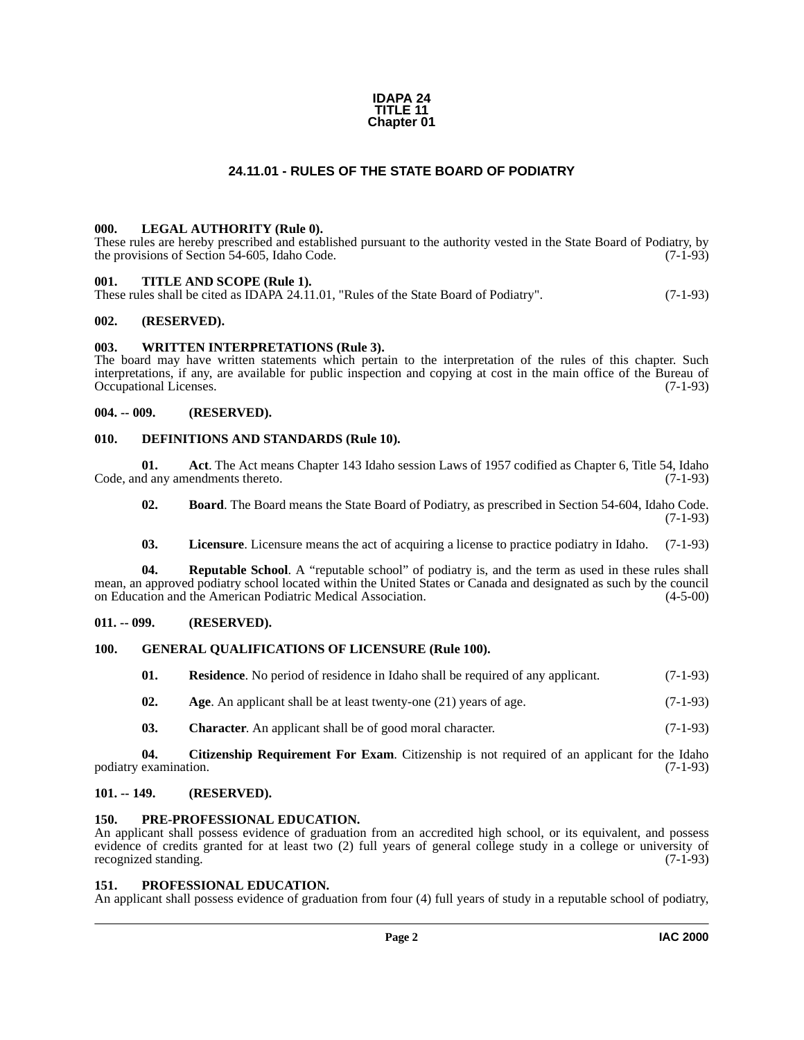#### **IDAPA 24 TITLE 11 Chapter 01**

#### **24.11.01 - RULES OF THE STATE BOARD OF PODIATRY**

#### <span id="page-1-19"></span><span id="page-1-1"></span><span id="page-1-0"></span>**000. LEGAL AUTHORITY (Rule 0).**

These rules are hereby prescribed and established pursuant to the authority vested in the State Board of Podiatry, by the provisions of Section 54-605, Idaho Code. (7-1-93)

#### <span id="page-1-25"></span><span id="page-1-2"></span>**001. TITLE AND SCOPE (Rule 1).**

These rules shall be cited as IDAPA 24.11.01, "Rules of the State Board of Podiatry". (7-1-93)

#### <span id="page-1-3"></span>**002. (RESERVED).**

#### <span id="page-1-26"></span><span id="page-1-4"></span>**003. WRITTEN INTERPRETATIONS (Rule 3).**

The board may have written statements which pertain to the interpretation of the rules of this chapter. Such interpretations, if any, are available for public inspection and copying at cost in the main office of the Bureau of Occupational Licenses. (7-1-93)

#### <span id="page-1-5"></span>**004. -- 009. (RESERVED).**

#### <span id="page-1-17"></span><span id="page-1-6"></span>**010. DEFINITIONS AND STANDARDS (Rule 10).**

**01. Act**. The Act means Chapter 143 Idaho session Laws of 1957 codified as Chapter 6, Title 54, Idaho Code, and any amendments thereto. (7-1-93)

<span id="page-1-14"></span><span id="page-1-12"></span>**02. Board**. The Board means the State Board of Podiatry, as prescribed in Section 54-604, Idaho Code. (7-1-93)

<span id="page-1-23"></span><span id="page-1-20"></span>**03. Licensure**. Licensure means the act of acquiring a license to practice podiatry in Idaho. (7-1-93)

**04.** Reputable School. A "reputable school" of podiatry is, and the term as used in these rules shall mean, an approved podiatry school located within the United States or Canada and designated as such by the council on Education and the American Podiatric Medical Association. (4-5-00)

#### <span id="page-1-7"></span>**011. -- 099. (RESERVED).**

#### <span id="page-1-8"></span>**100. GENERAL QUALIFICATIONS OF LICENSURE (Rule 100).**

<span id="page-1-24"></span><span id="page-1-18"></span>

| 01. |  | <b>Residence.</b> No period of residence in Idaho shall be required of any applicant. | $(7-1-93)$ |
|-----|--|---------------------------------------------------------------------------------------|------------|
|-----|--|---------------------------------------------------------------------------------------|------------|

- <span id="page-1-13"></span>**02.** Age. An applicant shall be at least twenty-one (21) years of age. (7-1-93)
- <span id="page-1-16"></span><span id="page-1-15"></span>**03. Character**. An applicant shall be of good moral character. (7-1-93)

**04. Citizenship Requirement For Exam**. Citizenship is not required of an applicant for the Idaho podiatry examination. (7-1-93)

#### <span id="page-1-9"></span>**101. -- 149. (RESERVED).**

#### <span id="page-1-21"></span><span id="page-1-10"></span>**150. PRE-PROFESSIONAL EDUCATION.**

An applicant shall possess evidence of graduation from an accredited high school, or its equivalent, and possess evidence of credits granted for at least two (2) full years of general college study in a college or university of recognized standing. (7-1-93) recognized standing.

#### <span id="page-1-22"></span><span id="page-1-11"></span>**151. PROFESSIONAL EDUCATION.**

An applicant shall possess evidence of graduation from four (4) full years of study in a reputable school of podiatry,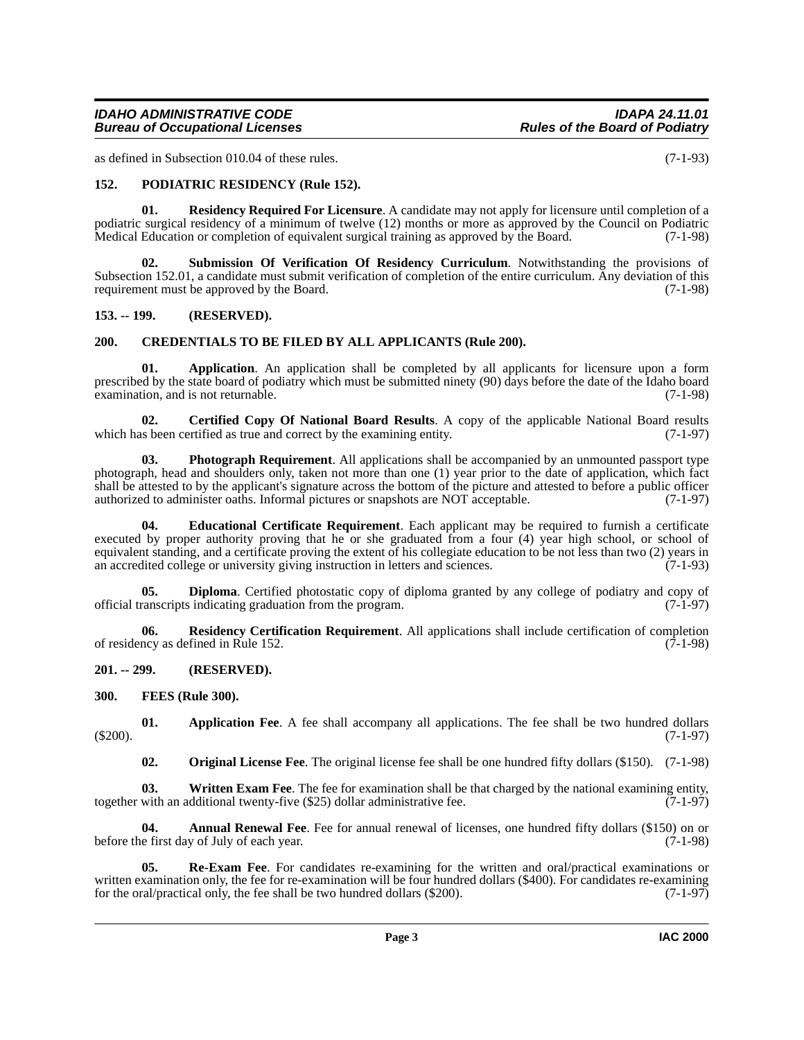#### *IDAHO ADMINISTRATIVE CODE IDAPA 24.11.01 Bureau of Occupational Licenses*

as defined in Subsection 010.04 of these rules. (7-1-93)

#### <span id="page-2-15"></span><span id="page-2-0"></span>**152. PODIATRIC RESIDENCY (Rule 152).**

<span id="page-2-18"></span>**01. Residency Required For Licensure**. A candidate may not apply for licensure until completion of a podiatric surgical residency of a minimum of twelve (12) months or more as approved by the Council on Podiatric<br>Medical Education or completion of equivalent surgical training as approved by the Board. (7-1-98) Medical Education or completion of equivalent surgical training as approved by the Board.

<span id="page-2-19"></span>**02. Submission Of Verification Of Residency Curriculum**. Notwithstanding the provisions of Subsection 152.01, a candidate must submit verification of completion of the entire curriculum. Any deviation of this requirement must be approved by the Board. (7-1-98)

#### <span id="page-2-1"></span>**153. -- 199. (RESERVED).**

#### <span id="page-2-9"></span><span id="page-2-2"></span>**200. CREDENTIALS TO BE FILED BY ALL APPLICANTS (Rule 200).**

<span id="page-2-6"></span>**01. Application**. An application shall be completed by all applicants for licensure upon a form prescribed by the state board of podiatry which must be submitted ninety (90) days before the date of the Idaho board examination, and is not returnable. (7-1-98)

<span id="page-2-8"></span>**02. Certified Copy Of National Board Results**. A copy of the applicable National Board results is been certified as true and correct by the examining entity. (7-1-97) which has been certified as true and correct by the examining entity.

<span id="page-2-14"></span>**03. Photograph Requirement**. All applications shall be accompanied by an unmounted passport type photograph, head and shoulders only, taken not more than one (1) year prior to the date of application, which fact shall be attested to by the applicant's signature across the bottom of the picture and attested to before a public officer authorized to administer oaths. Informal pictures or snapshots are NOT acceptable. (7-1-97)

<span id="page-2-11"></span>**04. Educational Certificate Requirement**. Each applicant may be required to furnish a certificate executed by proper authority proving that he or she graduated from a four (4) year high school, or school of equivalent standing, and a certificate proving the extent of his collegiate education to be not less than two (2) years in an accredited college or university giving instruction in letters and sciences. (7-1-93)

<span id="page-2-10"></span>**05. Diploma**. Certified photostatic copy of diploma granted by any college of podiatry and copy of canscripts indicating graduation from the program. (7-1-97) official transcripts indicating graduation from the program.

<span id="page-2-17"></span>**06. Residency Certification Requirement**. All applications shall include certification of completion of residency as defined in Rule 152.  $(7-1-98)$ 

<span id="page-2-3"></span>**201. -- 299. (RESERVED).**

<span id="page-2-12"></span><span id="page-2-4"></span>**300. FEES (Rule 300).**

**01. Application Fee**. A fee shall accompany all applications. The fee shall be two hundred dollars (\$200). (7-1-97)

<span id="page-2-20"></span><span id="page-2-13"></span><span id="page-2-7"></span><span id="page-2-5"></span>**02. Original License Fee**. The original license fee shall be one hundred fifty dollars (\$150). (7-1-98)

**03.** Written Exam Fee. The fee for examination shall be that charged by the national examining entity, with an additional twenty-five (\$25) dollar administrative fee. (7-1-97) together with an additional twenty-five  $(\$25)$  dollar administrative fee.

**04. Annual Renewal Fee**. Fee for annual renewal of licenses, one hundred fifty dollars (\$150) on or before the first day of July of each year. (7-1-98)

<span id="page-2-16"></span>**05. Re-Exam Fee**. For candidates re-examining for the written and oral/practical examinations or written examination only, the fee for re-examination will be four hundred dollars (\$400). For candidates re-examining for the oral/practical only, the fee shall be two hundred dollars (\$200). (7-1-97)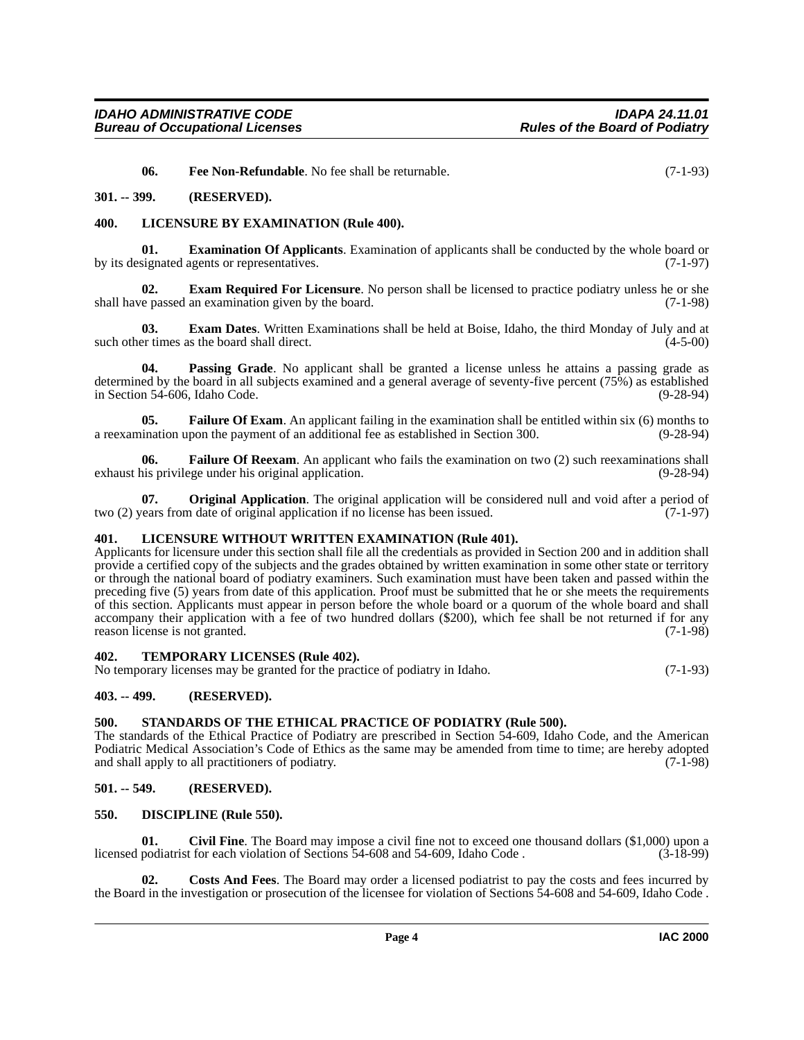<span id="page-3-17"></span><span id="page-3-16"></span><span id="page-3-13"></span>**06.** Free Non-Refundable. No fee shall be returnable. (7-1-93)

#### <span id="page-3-0"></span>**301. -- 399. (RESERVED).**

#### <span id="page-3-1"></span>**400. LICENSURE BY EXAMINATION (Rule 400).**

**01. Examination Of Applicants**. Examination of applicants shall be conducted by the whole board or by its designated agents or representatives. (7-1-97)

<span id="page-3-12"></span>**02. Exam Required For Licensure**. No person shall be licensed to practice podiatry unless he or she shall have passed an examination given by the board. (7-1-98)

<span id="page-3-11"></span>**03. Exam Dates**. Written Examinations shall be held at Boise, Idaho, the third Monday of July and at such other times as the board shall direct. (4-5-00)

<span id="page-3-20"></span>**04. Passing Grade**. No applicant shall be granted a license unless he attains a passing grade as determined by the board in all subjects examined and a general average of seventy-five percent (75%) as established in Section 54-606, Idaho Code. (9-28-94)

<span id="page-3-14"></span>**05. Failure Of Exam**. An applicant failing in the examination shall be entitled within six (6) months to ination upon the payment of an additional fee as established in Section 300. (9-28-94) a reexamination upon the payment of an additional fee as established in Section 300.

<span id="page-3-15"></span>**06. Failure Of Reexam**. An applicant who fails the examination on two (2) such reexaminations shall exhaust his privilege under his original application. (9-28-94)

<span id="page-3-19"></span>**07. Original Application**. The original application will be considered null and void after a period of two (2) years from date of original application if no license has been issued. (7-1-97)

#### <span id="page-3-18"></span><span id="page-3-2"></span>**401. LICENSURE WITHOUT WRITTEN EXAMINATION (Rule 401).**

Applicants for licensure under this section shall file all the credentials as provided in Section 200 and in addition shall provide a certified copy of the subjects and the grades obtained by written examination in some other state or territory or through the national board of podiatry examiners. Such examination must have been taken and passed within the preceding five (5) years from date of this application. Proof must be submitted that he or she meets the requirements of this section. Applicants must appear in person before the whole board or a quorum of the whole board and shall accompany their application with a fee of two hundred dollars (\$200), which fee shall be not returned if for any reason license is not granted. (7-1-98)

#### <span id="page-3-22"></span><span id="page-3-3"></span>**402. TEMPORARY LICENSES (Rule 402).**

No temporary licenses may be granted for the practice of podiatry in Idaho. (7-1-93)

#### <span id="page-3-4"></span>**403. -- 499. (RESERVED).**

#### <span id="page-3-21"></span><span id="page-3-5"></span>**500. STANDARDS OF THE ETHICAL PRACTICE OF PODIATRY (Rule 500).**

The standards of the Ethical Practice of Podiatry are prescribed in Section 54-609, Idaho Code, and the American Podiatric Medical Association's Code of Ethics as the same may be amended from time to time; are hereby adopted and shall apply to all practitioners of podiatry. (7-1-98)

#### <span id="page-3-6"></span>**501. -- 549. (RESERVED).**

#### <span id="page-3-10"></span><span id="page-3-7"></span>**550. DISCIPLINE (Rule 550).**

<span id="page-3-8"></span>**01.** Civil Fine. The Board may impose a civil fine not to exceed one thousand dollars (\$1,000) upon a podiatrist for each violation of Sections 54-608 and 54-609, Idaho Code. (3-18-99) licensed podiatrist for each violation of Sections 54-608 and 54-609, Idaho Code.

<span id="page-3-9"></span>**02. Costs And Fees**. The Board may order a licensed podiatrist to pay the costs and fees incurred by the Board in the investigation or prosecution of the licensee for violation of Sections 54-608 and 54-609, Idaho Code .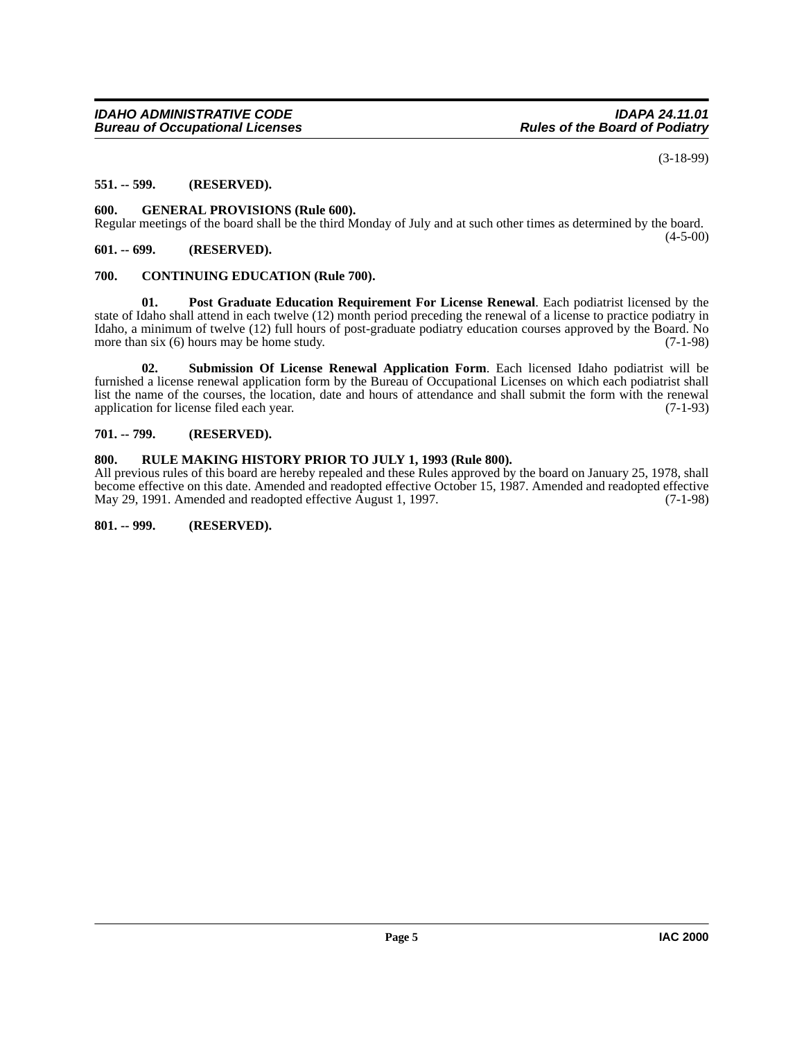(3-18-99)

#### <span id="page-4-0"></span>**551. -- 599. (RESERVED).**

#### <span id="page-4-8"></span><span id="page-4-1"></span>**600. GENERAL PROVISIONS (Rule 600).**

Regular meetings of the board shall be the third Monday of July and at such other times as determined by the board.  $(4-5-00)$ 

#### <span id="page-4-2"></span>**601. -- 699. (RESERVED).**

#### <span id="page-4-7"></span><span id="page-4-3"></span>**700. CONTINUING EDUCATION (Rule 700).**

<span id="page-4-9"></span>**01. Post Graduate Education Requirement For License Renewal**. Each podiatrist licensed by the state of Idaho shall attend in each twelve (12) month period preceding the renewal of a license to practice podiatry in Idaho, a minimum of twelve (12) full hours of post-graduate podiatry education courses approved by the Board. No more than six  $(6)$  hours may be home study. (7-1-98)

<span id="page-4-11"></span>**02. Submission Of License Renewal Application Form**. Each licensed Idaho podiatrist will be furnished a license renewal application form by the Bureau of Occupational Licenses on which each podiatrist shall list the name of the courses, the location, date and hours of attendance and shall submit the form with the renewal application for license filed each year. (7-1-93) application for license filed each year.

#### <span id="page-4-4"></span>**701. -- 799. (RESERVED).**

#### <span id="page-4-10"></span><span id="page-4-5"></span>**800. RULE MAKING HISTORY PRIOR TO JULY 1, 1993 (Rule 800).**

All previous rules of this board are hereby repealed and these Rules approved by the board on January 25, 1978, shall become effective on this date. Amended and readopted effective October 15, 1987. Amended and readopted effective May 29, 1991. Amended and readopted effective August 1, 1997. (7-1-98)

<span id="page-4-6"></span>**801. -- 999. (RESERVED).**